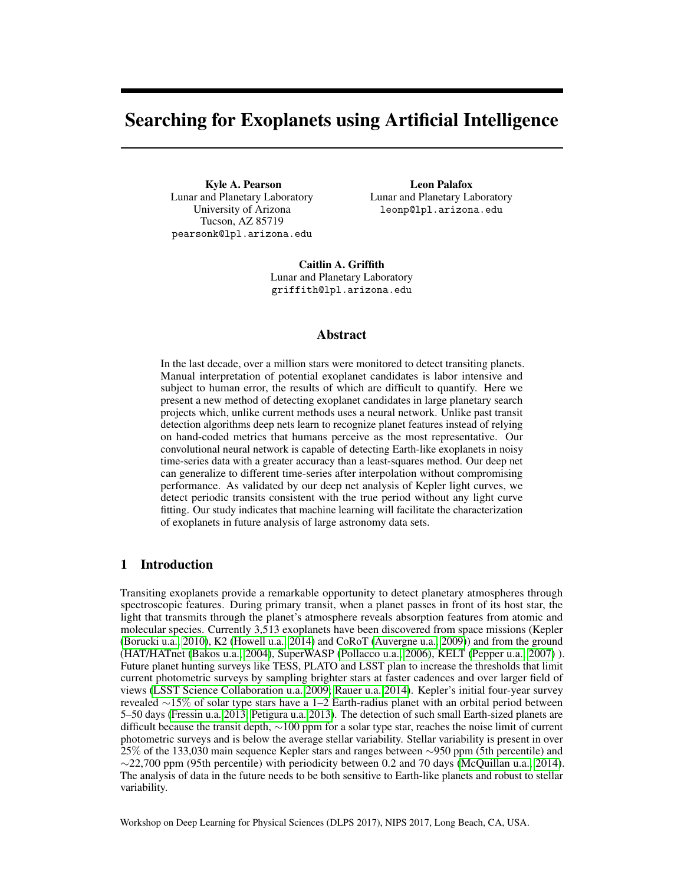# Searching for Exoplanets using Artificial Intelligence

Kyle A. Pearson Lunar and Planetary Laboratory University of Arizona Tucson, AZ 85719 pearsonk@lpl.arizona.edu

Leon Palafox Lunar and Planetary Laboratory leonp@lpl.arizona.edu

Caitlin A. Griffith Lunar and Planetary Laboratory griffith@lpl.arizona.edu

## Abstract

In the last decade, over a million stars were monitored to detect transiting planets. Manual interpretation of potential exoplanet candidates is labor intensive and subject to human error, the results of which are difficult to quantify. Here we present a new method of detecting exoplanet candidates in large planetary search projects which, unlike current methods uses a neural network. Unlike past transit detection algorithms deep nets learn to recognize planet features instead of relying on hand-coded metrics that humans perceive as the most representative. Our convolutional neural network is capable of detecting Earth-like exoplanets in noisy time-series data with a greater accuracy than a least-squares method. Our deep net can generalize to different time-series after interpolation without compromising performance. As validated by our deep net analysis of Kepler light curves, we detect periodic transits consistent with the true period without any light curve fitting. Our study indicates that machine learning will facilitate the characterization of exoplanets in future analysis of large astronomy data sets.

## 1 Introduction

Transiting exoplanets provide a remarkable opportunity to detect planetary atmospheres through spectroscopic features. During primary transit, when a planet passes in front of its host star, the light that transmits through the planet's atmosphere reveals absorption features from atomic and molecular species. Currently 3,513 exoplanets have been discovered from space missions (Kepler [\(Borucki u.a., 2010\)](#page-4-0), K2 [\(Howell u.a., 2014\)](#page-5-0) and CoRoT [\(Auvergne u.a., 2009\)](#page-4-1)) and from the ground (HAT/HATnet [\(Bakos u.a., 2004\)](#page-4-2), SuperWASP [\(Pollacco u.a., 2006\)](#page-4-3), KELT [\(Pepper u.a., 2007\)](#page-4-4) ). Future planet hunting surveys like TESS, PLATO and LSST plan to increase the thresholds that limit current photometric surveys by sampling brighter stars at faster cadences and over larger field of views [\(LSST Science Collaboration u.a. 2009;](#page-4-5) [Rauer u.a. 2014\)](#page-5-1). Kepler's initial four-year survey revealed ∼15% of solar type stars have a 1–2 Earth-radius planet with an orbital period between 5–50 days [\(Fressin u.a. 2013;](#page-4-6) [Petigura u.a. 2013\)](#page-4-7). The detection of such small Earth-sized planets are difficult because the transit depth, ∼100 ppm for a solar type star, reaches the noise limit of current photometric surveys and is below the average stellar variability. Stellar variability is present in over 25% of the 133,030 main sequence Kepler stars and ranges between ∼950 ppm (5th percentile) and  $\sim$ 22,700 ppm (95th percentile) with periodicity between 0.2 and 70 days [\(McQuillan u.a., 2014\)](#page-5-2). The analysis of data in the future needs to be both sensitive to Earth-like planets and robust to stellar variability.

Workshop on Deep Learning for Physical Sciences (DLPS 2017), NIPS 2017, Long Beach, CA, USA.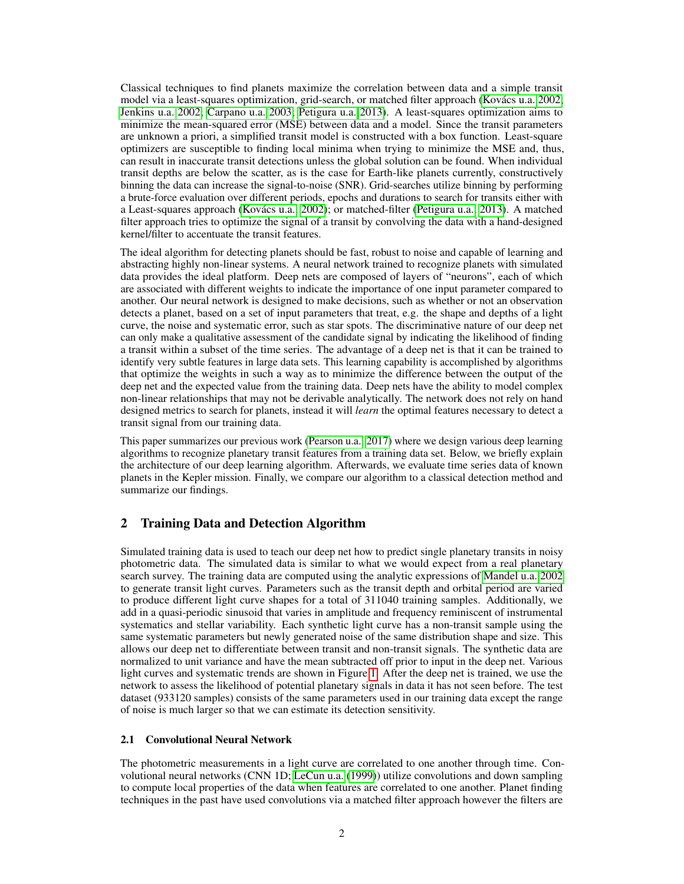Classical techniques to find planets maximize the correlation between data and a simple transit model via a least-squares optimization, grid-search, or matched filter approach [\(Kovács u.a. 2002;](#page-4-8) [Jenkins u.a. 2002;](#page-4-9) [Carpano u.a. 2003;](#page-4-10) [Petigura u.a. 2013\)](#page-4-7). A least-squares optimization aims to minimize the mean-squared error (MSE) between data and a model. Since the transit parameters are unknown a priori, a simplified transit model is constructed with a box function. Least-square optimizers are susceptible to finding local minima when trying to minimize the MSE and, thus, can result in inaccurate transit detections unless the global solution can be found. When individual transit depths are below the scatter, as is the case for Earth-like planets currently, constructively binning the data can increase the signal-to-noise (SNR). Grid-searches utilize binning by performing a brute-force evaluation over different periods, epochs and durations to search for transits either with a Least-squares approach [\(Kovács u.a., 2002\)](#page-4-8); or matched-filter [\(Petigura u.a., 2013\)](#page-4-7). A matched filter approach tries to optimize the signal of a transit by convolving the data with a hand-designed kernel/filter to accentuate the transit features.

The ideal algorithm for detecting planets should be fast, robust to noise and capable of learning and abstracting highly non-linear systems. A neural network trained to recognize planets with simulated data provides the ideal platform. Deep nets are composed of layers of "neurons", each of which are associated with different weights to indicate the importance of one input parameter compared to another. Our neural network is designed to make decisions, such as whether or not an observation detects a planet, based on a set of input parameters that treat, e.g. the shape and depths of a light curve, the noise and systematic error, such as star spots. The discriminative nature of our deep net can only make a qualitative assessment of the candidate signal by indicating the likelihood of finding a transit within a subset of the time series. The advantage of a deep net is that it can be trained to identify very subtle features in large data sets. This learning capability is accomplished by algorithms that optimize the weights in such a way as to minimize the difference between the output of the deep net and the expected value from the training data. Deep nets have the ability to model complex non-linear relationships that may not be derivable analytically. The network does not rely on hand designed metrics to search for planets, instead it will *learn* the optimal features necessary to detect a transit signal from our training data.

This paper summarizes our previous work [\(Pearson u.a., 2017\)](#page-5-3) where we design various deep learning algorithms to recognize planetary transit features from a training data set. Below, we briefly explain the architecture of our deep learning algorithm. Afterwards, we evaluate time series data of known planets in the Kepler mission. Finally, we compare our algorithm to a classical detection method and summarize our findings.

## 2 Training Data and Detection Algorithm

Simulated training data is used to teach our deep net how to predict single planetary transits in noisy photometric data. The simulated data is similar to what we would expect from a real planetary search survey. The training data are computed using the analytic expressions of [Mandel u.a. 2002](#page-4-11) to generate transit light curves. Parameters such as the transit depth and orbital period are varied to produce different light curve shapes for a total of 311040 training samples. Additionally, we add in a quasi-periodic sinusoid that varies in amplitude and frequency reminiscent of instrumental systematics and stellar variability. Each synthetic light curve has a non-transit sample using the same systematic parameters but newly generated noise of the same distribution shape and size. This allows our deep net to differentiate between transit and non-transit signals. The synthetic data are normalized to unit variance and have the mean subtracted off prior to input in the deep net. Various light curves and systematic trends are shown in Figure [1.](#page-2-0) After the deep net is trained, we use the network to assess the likelihood of potential planetary signals in data it has not seen before. The test dataset (933120 samples) consists of the same parameters used in our training data except the range of noise is much larger so that we can estimate its detection sensitivity.

#### 2.1 Convolutional Neural Network

The photometric measurements in a light curve are correlated to one another through time. Convolutional neural networks (CNN 1D; [LeCun u.a.](#page-4-12) [\(1999\)](#page-4-12)) utilize convolutions and down sampling to compute local properties of the data when features are correlated to one another. Planet finding techniques in the past have used convolutions via a matched filter approach however the filters are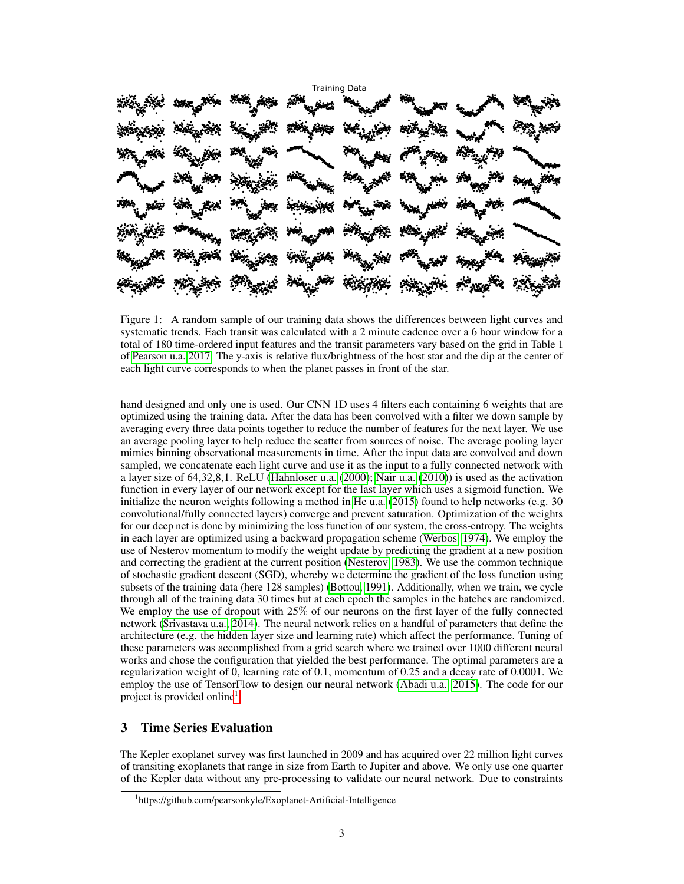

<span id="page-2-0"></span>Figure 1: A random sample of our training data shows the differences between light curves and systematic trends. Each transit was calculated with a 2 minute cadence over a 6 hour window for a total of 180 time-ordered input features and the transit parameters vary based on the grid in Table 1 of [Pearson u.a. 2017.](#page-5-3) The y-axis is relative flux/brightness of the host star and the dip at the center of each light curve corresponds to when the planet passes in front of the star.

hand designed and only one is used. Our CNN 1D uses 4 filters each containing 6 weights that are optimized using the training data. After the data has been convolved with a filter we down sample by averaging every three data points together to reduce the number of features for the next layer. We use an average pooling layer to help reduce the scatter from sources of noise. The average pooling layer mimics binning observational measurements in time. After the input data are convolved and down sampled, we concatenate each light curve and use it as the input to a fully connected network with a layer size of 64,32,8,1. ReLU [\(Hahnloser u.a.](#page-4-13) [\(2000\)](#page-4-13); [Nair u.a.](#page-4-14) [\(2010\)](#page-4-14)) is used as the activation function in every layer of our network except for the last layer which uses a sigmoid function. We initialize the neuron weights following a method in [He u.a.](#page-5-4) [\(2015\)](#page-5-4) found to help networks (e.g. 30 convolutional/fully connected layers) converge and prevent saturation. Optimization of the weights for our deep net is done by minimizing the loss function of our system, the cross-entropy. The weights in each layer are optimized using a backward propagation scheme [\(Werbos, 1974\)](#page-4-15). We employ the use of Nesterov momentum to modify the weight update by predicting the gradient at a new position and correcting the gradient at the current position [\(Nesterov, 1983\)](#page-4-16). We use the common technique of stochastic gradient descent (SGD), whereby we determine the gradient of the loss function using subsets of the training data (here 128 samples) [\(Bottou, 1991\)](#page-4-17). Additionally, when we train, we cycle through all of the training data 30 times but at each epoch the samples in the batches are randomized. We employ the use of dropout with  $25\%$  of our neurons on the first layer of the fully connected network [\(Srivastava u.a., 2014\)](#page-4-18). The neural network relies on a handful of parameters that define the architecture (e.g. the hidden layer size and learning rate) which affect the performance. Tuning of these parameters was accomplished from a grid search where we trained over 1000 different neural works and chose the configuration that yielded the best performance. The optimal parameters are a regularization weight of 0, learning rate of 0.1, momentum of 0.25 and a decay rate of 0.0001. We employ the use of TensorFlow to design our neural network [\(Abadi u.a., 2015\)](#page-5-5). The code for our project is provided online<sup>[1](#page-2-1)</sup>

# 3 Time Series Evaluation

The Kepler exoplanet survey was first launched in 2009 and has acquired over 22 million light curves of transiting exoplanets that range in size from Earth to Jupiter and above. We only use one quarter of the Kepler data without any pre-processing to validate our neural network. Due to constraints

<span id="page-2-1"></span><sup>1</sup> https://github.com/pearsonkyle/Exoplanet-Artificial-Intelligence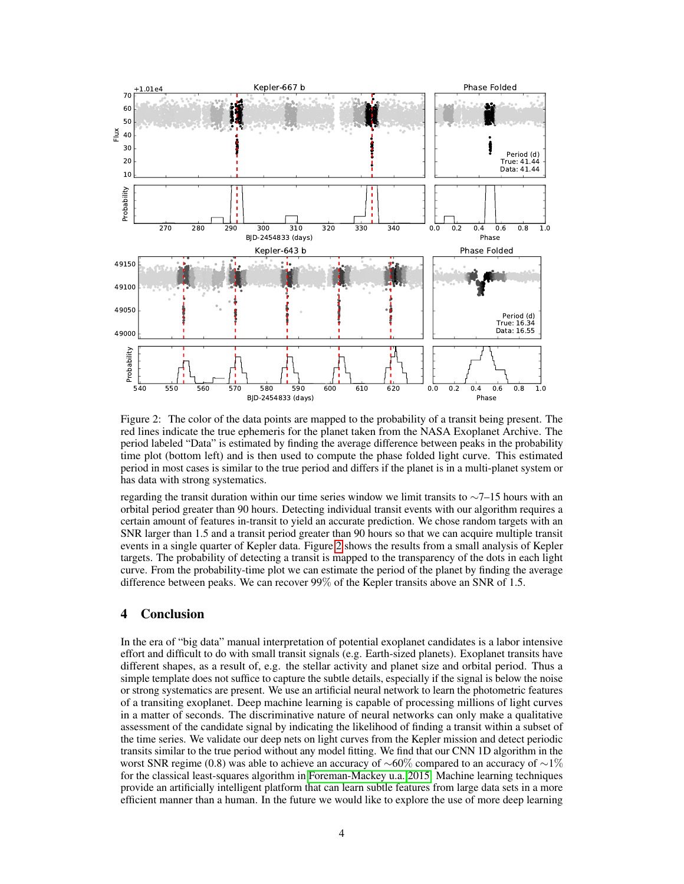

<span id="page-3-0"></span>Figure 2: The color of the data points are mapped to the probability of a transit being present. The red lines indicate the true ephemeris for the planet taken from the NASA Exoplanet Archive. The period labeled "Data" is estimated by finding the average difference between peaks in the probability time plot (bottom left) and is then used to compute the phase folded light curve. This estimated period in most cases is similar to the true period and differs if the planet is in a multi-planet system or has data with strong systematics.

regarding the transit duration within our time series window we limit transits to ∼7–15 hours with an orbital period greater than 90 hours. Detecting individual transit events with our algorithm requires a certain amount of features in-transit to yield an accurate prediction. We chose random targets with an SNR larger than 1.5 and a transit period greater than 90 hours so that we can acquire multiple transit events in a single quarter of Kepler data. Figure [2](#page-3-0) shows the results from a small analysis of Kepler targets. The probability of detecting a transit is mapped to the transparency of the dots in each light curve. From the probability-time plot we can estimate the period of the planet by finding the average difference between peaks. We can recover 99% of the Kepler transits above an SNR of 1.5.

## 4 Conclusion

In the era of "big data" manual interpretation of potential exoplanet candidates is a labor intensive effort and difficult to do with small transit signals (e.g. Earth-sized planets). Exoplanet transits have different shapes, as a result of, e.g. the stellar activity and planet size and orbital period. Thus a simple template does not suffice to capture the subtle details, especially if the signal is below the noise or strong systematics are present. We use an artificial neural network to learn the photometric features of a transiting exoplanet. Deep machine learning is capable of processing millions of light curves in a matter of seconds. The discriminative nature of neural networks can only make a qualitative assessment of the candidate signal by indicating the likelihood of finding a transit within a subset of the time series. We validate our deep nets on light curves from the Kepler mission and detect periodic transits similar to the true period without any model fitting. We find that our CNN 1D algorithm in the worst SNR regime (0.8) was able to achieve an accuracy of ∼60% compared to an accuracy of ∼1% for the classical least-squares algorithm in [Foreman-Mackey u.a. 2015.](#page-5-6) Machine learning techniques provide an artificially intelligent platform that can learn subtle features from large data sets in a more efficient manner than a human. In the future we would like to explore the use of more deep learning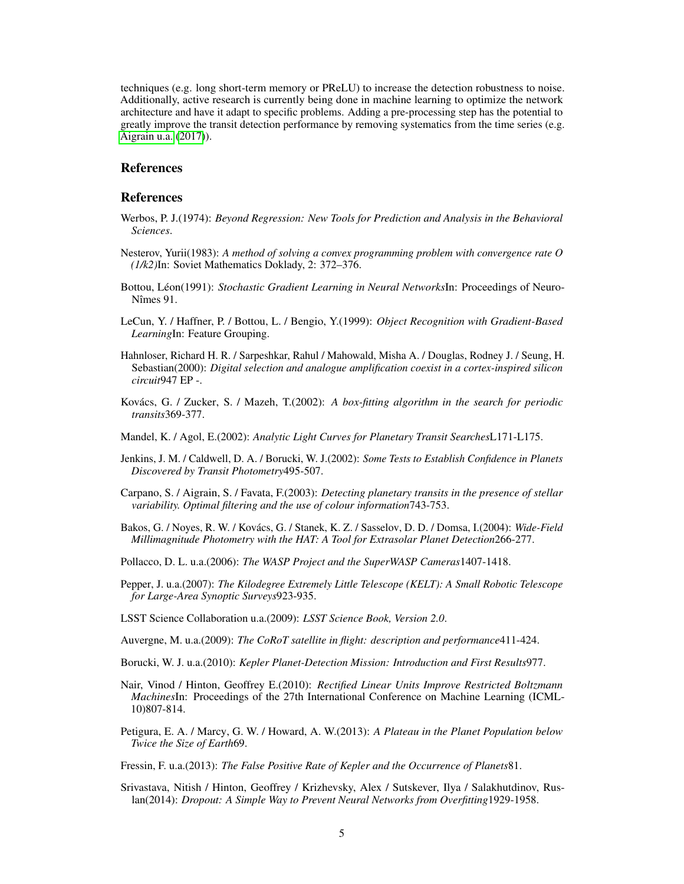techniques (e.g. long short-term memory or PReLU) to increase the detection robustness to noise. Additionally, active research is currently being done in machine learning to optimize the network architecture and have it adapt to specific problems. Adding a pre-processing step has the potential to greatly improve the transit detection performance by removing systematics from the time series (e.g. [Aigrain u.a.](#page-5-7) [\(2017\)](#page-5-7)).

## **References**

### References

- <span id="page-4-15"></span>Werbos, P. J.(1974): *Beyond Regression: New Tools for Prediction and Analysis in the Behavioral Sciences*.
- <span id="page-4-16"></span>Nesterov, Yurii(1983): *A method of solving a convex programming problem with convergence rate O (1/k2)*In: Soviet Mathematics Doklady, 2: 372–376.
- <span id="page-4-17"></span>Bottou, Léon(1991): *Stochastic Gradient Learning in Neural Networks*In: Proceedings of Neuro-Nîmes 91.
- <span id="page-4-12"></span>LeCun, Y. / Haffner, P. / Bottou, L. / Bengio, Y.(1999): *Object Recognition with Gradient-Based Learning*In: Feature Grouping.
- <span id="page-4-13"></span>Hahnloser, Richard H. R. / Sarpeshkar, Rahul / Mahowald, Misha A. / Douglas, Rodney J. / Seung, H. Sebastian(2000): *Digital selection and analogue amplification coexist in a cortex-inspired silicon circuit*947 EP -.
- <span id="page-4-8"></span>Kovács, G. / Zucker, S. / Mazeh, T.(2002): *A box-fitting algorithm in the search for periodic transits*369-377.
- <span id="page-4-11"></span>Mandel, K. / Agol, E.(2002): *Analytic Light Curves for Planetary Transit Searches*L171-L175.
- <span id="page-4-9"></span>Jenkins, J. M. / Caldwell, D. A. / Borucki, W. J.(2002): *Some Tests to Establish Confidence in Planets Discovered by Transit Photometry*495-507.
- <span id="page-4-10"></span>Carpano, S. / Aigrain, S. / Favata, F.(2003): *Detecting planetary transits in the presence of stellar variability. Optimal filtering and the use of colour information*743-753.
- <span id="page-4-2"></span>Bakos, G. / Noyes, R. W. / Kovács, G. / Stanek, K. Z. / Sasselov, D. D. / Domsa, I.(2004): *Wide-Field Millimagnitude Photometry with the HAT: A Tool for Extrasolar Planet Detection*266-277.
- <span id="page-4-3"></span>Pollacco, D. L. u.a.(2006): *The WASP Project and the SuperWASP Cameras*1407-1418.
- <span id="page-4-4"></span>Pepper, J. u.a.(2007): *The Kilodegree Extremely Little Telescope (KELT): A Small Robotic Telescope for Large-Area Synoptic Surveys*923-935.
- <span id="page-4-5"></span>LSST Science Collaboration u.a.(2009): *LSST Science Book, Version 2.0*.
- <span id="page-4-1"></span>Auvergne, M. u.a.(2009): *The CoRoT satellite in flight: description and performance*411-424.
- <span id="page-4-0"></span>Borucki, W. J. u.a.(2010): *Kepler Planet-Detection Mission: Introduction and First Results*977.
- <span id="page-4-14"></span>Nair, Vinod / Hinton, Geoffrey E.(2010): *Rectified Linear Units Improve Restricted Boltzmann Machines*In: Proceedings of the 27th International Conference on Machine Learning (ICML-10)807-814.
- <span id="page-4-7"></span>Petigura, E. A. / Marcy, G. W. / Howard, A. W.(2013): *A Plateau in the Planet Population below Twice the Size of Earth*69.

<span id="page-4-6"></span>Fressin, F. u.a.(2013): *The False Positive Rate of Kepler and the Occurrence of Planets*81.

<span id="page-4-18"></span>Srivastava, Nitish / Hinton, Geoffrey / Krizhevsky, Alex / Sutskever, Ilya / Salakhutdinov, Ruslan(2014): *Dropout: A Simple Way to Prevent Neural Networks from Overfitting*1929-1958.